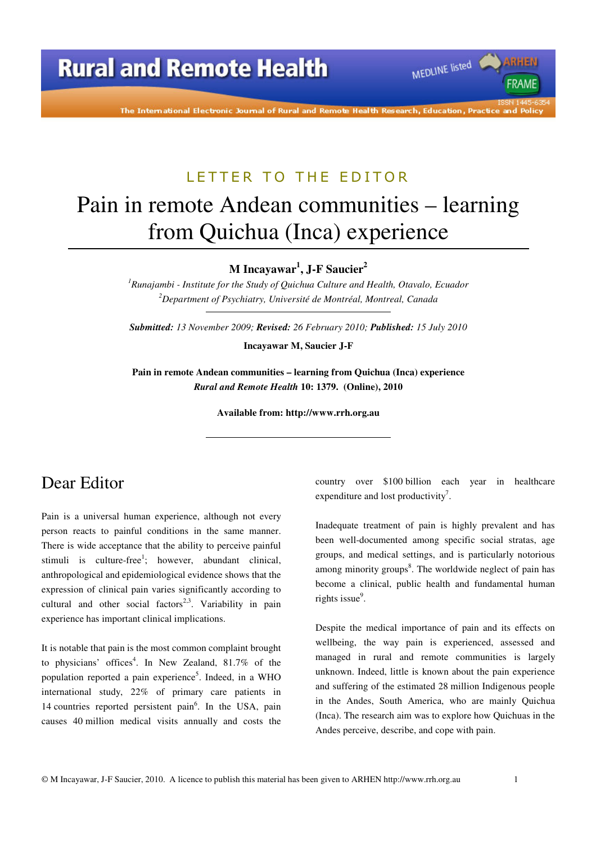The International Electronic Journal of Rural and Remote Health Research, Education, Practice and Policy

### LETTER TO THE EDITOR

# Pain in remote Andean communities – learning from Quichua (Inca) experience

**M Incayawar<sup>1</sup> , J-F Saucier<sup>2</sup>**

*<sup>1</sup>Runajambi - Institute for the Study of Quichua Culture and Health, Otavalo, Ecuador <sup>2</sup>Department of Psychiatry, Université de Montréal, Montreal, Canada* 

*Submitted: 13 November 2009; Revised: 26 February 2010; Published: 15 July 2010* 

**Incayawar M, Saucier J-F** 

**Pain in remote Andean communities – learning from Quichua (Inca) experience**  *Rural and Remote Health* **10: 1379. (Online), 2010** 

**Available from: http://www.rrh.org.au** 

# Dear Editor

Pain is a universal human experience, although not every person reacts to painful conditions in the same manner. There is wide acceptance that the ability to perceive painful stimuli is culture-free<sup>1</sup>; however, abundant clinical, anthropological and epidemiological evidence shows that the expression of clinical pain varies significantly according to cultural and other social factors<sup>2,3</sup>. Variability in pain experience has important clinical implications.

It is notable that pain is the most common complaint brought to physicians' offices<sup>4</sup>. In New Zealand, 81.7% of the population reported a pain experience<sup>5</sup>. Indeed, in a WHO international study, 22% of primary care patients in 14 countries reported persistent pain<sup>6</sup>. In the USA, pain causes 40 million medical visits annually and costs the

country over \$100 billion each year in healthcare expenditure and lost productivity<sup>7</sup>.

MEDLINE listed

FRAME

Inadequate treatment of pain is highly prevalent and has been well-documented among specific social stratas, age groups, and medical settings, and is particularly notorious among minority groups<sup>8</sup>. The worldwide neglect of pain has become a clinical, public health and fundamental human rights issue<sup>9</sup>.

Despite the medical importance of pain and its effects on wellbeing, the way pain is experienced, assessed and managed in rural and remote communities is largely unknown. Indeed, little is known about the pain experience and suffering of the estimated 28 million Indigenous people in the Andes, South America, who are mainly Quichua (Inca). The research aim was to explore how Quichuas in the Andes perceive, describe, and cope with pain.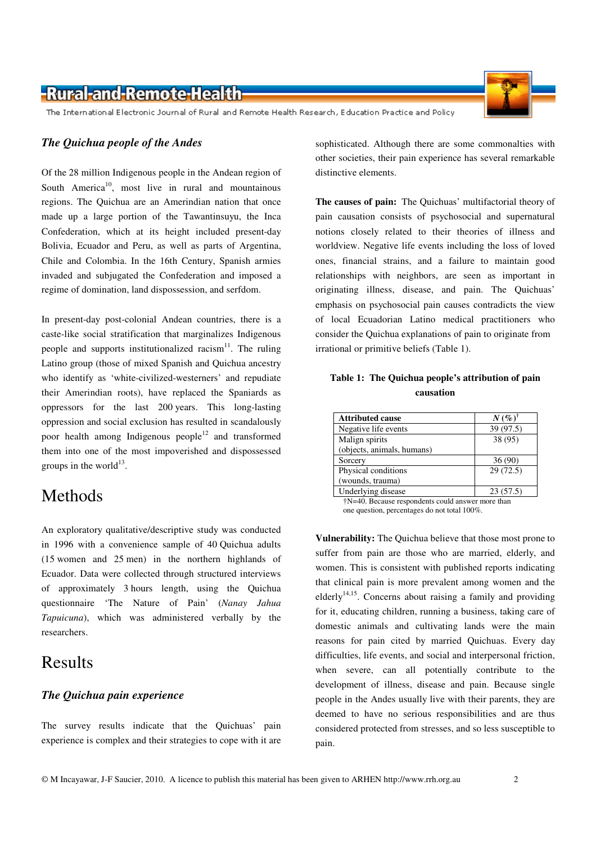### -Rural-and-Remote-Health-

The International Electronic Journal of Rural and Remote Health Research, Education Practice and Policy

#### *The Quichua people of the Andes*

Of the 28 million Indigenous people in the Andean region of South America<sup>10</sup>, most live in rural and mountainous regions. The Quichua are an Amerindian nation that once made up a large portion of the Tawantinsuyu, the Inca Confederation, which at its height included present-day Bolivia, Ecuador and Peru, as well as parts of Argentina, Chile and Colombia. In the 16th Century, Spanish armies invaded and subjugated the Confederation and imposed a regime of domination, land dispossession, and serfdom.

In present-day post-colonial Andean countries, there is a caste-like social stratification that marginalizes Indigenous people and supports institutionalized racism<sup>11</sup>. The ruling Latino group (those of mixed Spanish and Quichua ancestry who identify as 'white-civilized-westerners' and repudiate their Amerindian roots), have replaced the Spaniards as oppressors for the last 200 years. This long-lasting oppression and social exclusion has resulted in scandalously poor health among Indigenous people<sup>12</sup> and transformed them into one of the most impoverished and dispossessed groups in the world $^{13}$ .

### Methods

An exploratory qualitative/descriptive study was conducted in 1996 with a convenience sample of 40 Quichua adults (15 women and 25 men) in the northern highlands of Ecuador. Data were collected through structured interviews of approximately 3 hours length, using the Quichua questionnaire 'The Nature of Pain' (*Nanay Jahua Tapuicuna*), which was administered verbally by the researchers.

### Results

#### *The Quichua pain experience*

The survey results indicate that the Quichuas' pain experience is complex and their strategies to cope with it are

sophisticated. Although there are some commonalties with other societies, their pain experience has several remarkable distinctive elements.

**The causes of pain:** The Quichuas' multifactorial theory of pain causation consists of psychosocial and supernatural notions closely related to their theories of illness and worldview. Negative life events including the loss of loved ones, financial strains, and a failure to maintain good relationships with neighbors, are seen as important in originating illness, disease, and pain. The Quichuas' emphasis on psychosocial pain causes contradicts the view of local Ecuadorian Latino medical practitioners who consider the Quichua explanations of pain to originate from irrational or primitive beliefs (Table 1).

#### **Table 1: The Quichua people's attribution of pain causation**

| <b>Attributed cause</b>    | $N(\%)^{\dagger}$ |
|----------------------------|-------------------|
| Negative life events       | 39 (97.5)         |
| Malign spirits             | 38 (95)           |
| (objects, animals, humans) |                   |
| Sorcery                    | 36(90)            |
| Physical conditions        | 29(72.5)          |
| (wounds, trauma)           |                   |
| Underlying disease         | 23(57.5)          |

†N=40. Because respondents could answer more than one question, percentages do not total 100%.

**Vulnerability:** The Quichua believe that those most prone to suffer from pain are those who are married, elderly, and women. This is consistent with published reports indicating that clinical pain is more prevalent among women and the elderly<sup>14,15</sup>. Concerns about raising a family and providing for it, educating children, running a business, taking care of domestic animals and cultivating lands were the main reasons for pain cited by married Quichuas. Every day difficulties, life events, and social and interpersonal friction, when severe, can all potentially contribute to the development of illness, disease and pain. Because single people in the Andes usually live with their parents, they are deemed to have no serious responsibilities and are thus considered protected from stresses, and so less susceptible to pain.

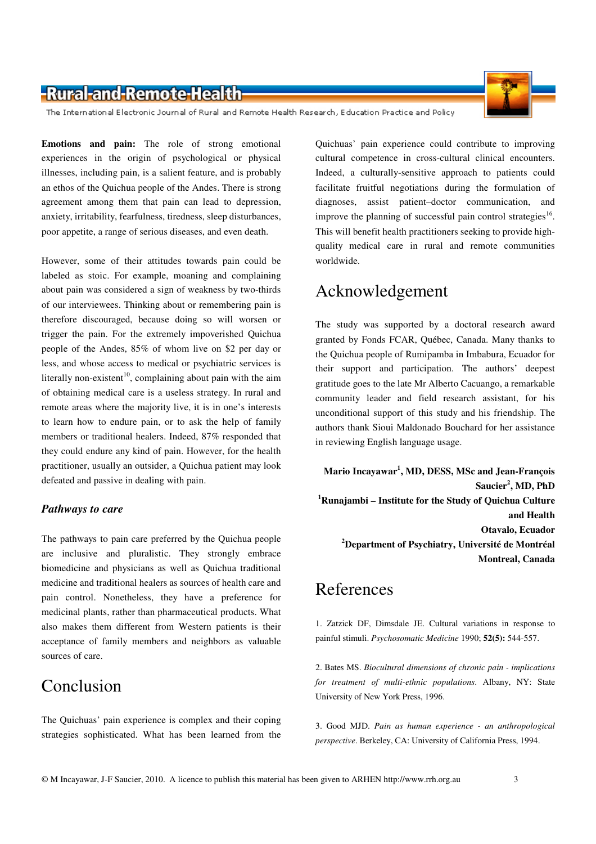### -Rural-and-Remote-Health-

The International Electronic Journal of Rural and Remote Health Research, Education Practice and Policy

**Emotions and pain:** The role of strong emotional experiences in the origin of psychological or physical illnesses, including pain, is a salient feature, and is probably an ethos of the Quichua people of the Andes. There is strong agreement among them that pain can lead to depression, anxiety, irritability, fearfulness, tiredness, sleep disturbances, poor appetite, a range of serious diseases, and even death.

However, some of their attitudes towards pain could be labeled as stoic. For example, moaning and complaining about pain was considered a sign of weakness by two-thirds of our interviewees. Thinking about or remembering pain is therefore discouraged, because doing so will worsen or trigger the pain. For the extremely impoverished Quichua people of the Andes, 85% of whom live on \$2 per day or less, and whose access to medical or psychiatric services is literally non-existent<sup>10</sup>, complaining about pain with the aim of obtaining medical care is a useless strategy. In rural and remote areas where the majority live, it is in one's interests to learn how to endure pain, or to ask the help of family members or traditional healers. Indeed, 87% responded that they could endure any kind of pain. However, for the health practitioner, usually an outsider, a Quichua patient may look defeated and passive in dealing with pain.

#### *Pathways to care*

The pathways to pain care preferred by the Quichua people are inclusive and pluralistic. They strongly embrace biomedicine and physicians as well as Quichua traditional medicine and traditional healers as sources of health care and pain control. Nonetheless, they have a preference for medicinal plants, rather than pharmaceutical products. What also makes them different from Western patients is their acceptance of family members and neighbors as valuable sources of care.

## Conclusion

The Quichuas' pain experience is complex and their coping strategies sophisticated. What has been learned from the

Quichuas' pain experience could contribute to improving cultural competence in cross-cultural clinical encounters. Indeed, a culturally-sensitive approach to patients could facilitate fruitful negotiations during the formulation of diagnoses, assist patient–doctor communication, and improve the planning of successful pain control strategies<sup>16</sup>. This will benefit health practitioners seeking to provide highquality medical care in rural and remote communities worldwide.

### Acknowledgement

The study was supported by a doctoral research award granted by Fonds FCAR, Québec, Canada. Many thanks to the Quichua people of Rumipamba in Imbabura, Ecuador for their support and participation. The authors' deepest gratitude goes to the late Mr Alberto Cacuango, a remarkable community leader and field research assistant, for his unconditional support of this study and his friendship. The authors thank Sioui Maldonado Bouchard for her assistance in reviewing English language usage.

**Mario Incayawar<sup>1</sup> , MD, DESS, MSc and Jean-François Saucier<sup>2</sup> , MD, PhD <sup>1</sup>Runajambi – Institute for the Study of Quichua Culture and Health Otavalo, Ecuador <sup>2</sup>Department of Psychiatry, Université de Montréal Montreal, Canada**

### References

1. Zatzick DF, Dimsdale JE. Cultural variations in response to painful stimuli. *Psychosomatic Medicine* 1990; **52(5):** 544-557.

2. Bates MS. *Biocultural dimensions of chronic pain - implications for treatment of multi-ethnic populations*. Albany, NY: State University of New York Press, 1996.

3. Good MJD. *Pain as human experience - an anthropological perspective*. Berkeley, CA: University of California Press, 1994.